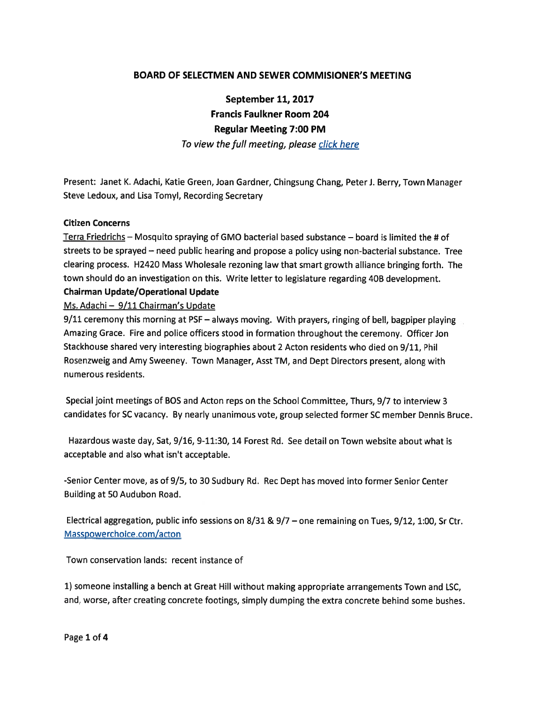# BOARD OF SELECTMEN AND SEWER COMMISIONER'S MEETING

September 11, 2017 Francis Faulkner Room 204 Regular Meeting 7:00 PM

To view the full meeting, please click here

Present: Janet K. Adachi, Katie Green, Joan Gardner, Chingsung Chang, PeterJ. Berry, Town Manager Steve Ledoux, and Lisa Tomyl, Recording Secretary

## Citizen Concerns

Terra Friedrichs — Mosquito spraying of GMO bacterial based substance — board is limited the # of streets to be sprayed — need public hearing and propose <sup>a</sup> policy using non-bacterial substance. Tree clearing process. H2420 Mass Wholesale rezoning law that smart growth alliance bringing forth. The town should do an investigation on this. Write letter to legislature regarding 40B development. Chairman Update/Operational Update

Ms. Adachi — 9/11 Chairman's Update

9/11 ceremony this morning at PSF — always moving. With prayers, ringing of bell, bagpiper <sup>p</sup>laying Amazing Grace. Fire and police officers stood in formation throughout the ceremony. Officer Jon Stackhouse shared very interesting biographies about 2 Acton residents who died on 9/11, Phil Rosenzweig and Amy Sweeney. Town Manager, Asst TM, and Dept Directors present, along with numerous residents.

Special joint meetings of BOS and Acton reps on the School Committee, Thurs, 9/7 to interview 3 candidates for SC vacancy. By nearly unanimous vote, group selected former SC member Dennis Bruce.

Hazardous waste day, Sat, 9/16, 9-11:30, 14 Forest Rd. See detail on Town website about what is acceptable and also what isn't acceptable.

-Senior Center move, as of 9/5, to 30 Sudbury Rd. Rec Dept has moved into former Senior Center Building at 50 Audubon Road.

Electrical aggregation, public info sessions on 8/31 & 9/7 — one remaining on Tues, 9/12, 1:00, Sr Ctr. Masspowerchoice.com/acton

Town conservation lands: recent instance of

1) someone installing <sup>a</sup> bench at Great Hill without making appropriate arrangements Town and LSC, and, worse, after creating concrete footings, simply dumping the extra concrete behind some bushes.

Page 1 of 4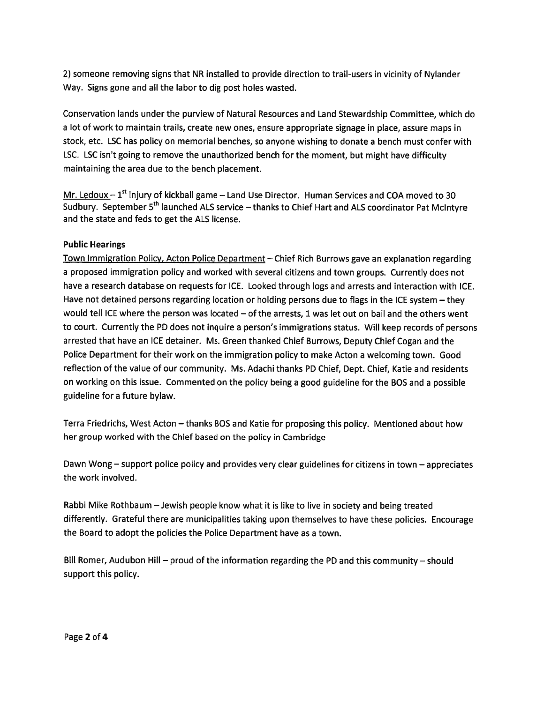2) someone removing signs that NR installed to provide direction to trail-users in vicinity of Nylander Way. Signs gone and all the labor to dig pos<sup>t</sup> holes wasted.

Conservation lands under the purview of Natural Resources and Land Stewardship Committee, which do <sup>a</sup> lot of work to maintain trails, create new ones, ensure appropriate signage in <sup>p</sup>lace, assure maps in stock, etc. LSC has policy on memorial benches, so anyone wishing to donate <sup>a</sup> bench must confer with LSC. LSC isn't going to remove the unauthorized bench for the moment, but might have difficulty maintaining the area due to the bench placement.

Mr. Ledoux –  $1<sup>st</sup>$  injury of kickball game – Land Use Director. Human Services and COA moved to 30 Sudbury. September 5<sup>th</sup> launched ALS service – thanks to Chief Hart and ALS coordinator Pat McIntyre and the state and feds to ge<sup>t</sup> the ALS license.

## Public Hearings

Town Immigration Policy, Acton Police Department — Chief Rich Burrows gave an explanation regarding <sup>a</sup> proposed immigration policy and worked with several citizens and town groups. Currently does not have <sup>a</sup> research database on requests for ICE. Looked through logs and arrests and interaction with ICE. Have not detained persons regarding location or holding persons due to flags in the ICE system – they would tell ICE where the person was located — of the arrests, 1 was let out on bail and the others went to court. Currently the PD does not inquire <sup>a</sup> person's immigrations status. Will keep records of persons arrested that have an ICE detainer. Ms. Green thanked Chief Burrows, Deputy Chief Cogan and the Police Department for their work on the immigration policy to make Acton <sup>a</sup> welcoming town. Good reflection of the value of our community. Ms. Adachi thanks PD Chief, Dept. Chief, Katie and residents on working on this issue. Commented on the policy being <sup>a</sup> good guideline for the BOS and <sup>a</sup> possible guideline for <sup>a</sup> future bylaw.

Terra Friedrichs, West Acton — thanks BOS and Katie for proposing this policy. Mentioned about how her group worked with the Chief based on the policy in Cambridge

Dawn Wong — suppor<sup>t</sup> police policy and provides very clear guidelines for citizens in town — appreciates the work involved.

Rabbi Mike Rothbaum — Jewish people know what it is like to live in society and being treated differently. Grateful there are municipalities taking upon themselves to have these policies. Encourage the Board to adopt the policies the Police Department have as <sup>a</sup> town.

Bill Romer, Audubon Hill — prou<sup>d</sup> of the information regarding the PD and this community — should suppor<sup>t</sup> this policy.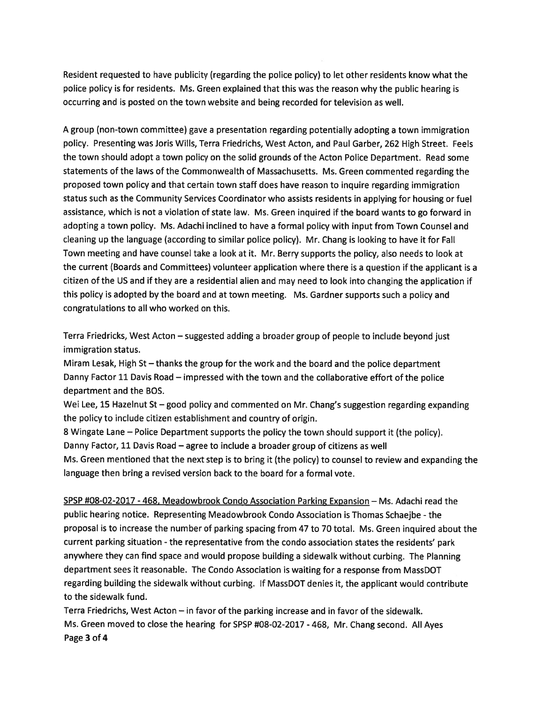Resident requested to have publicity (regarding the police policy) to let other residents know what the police policy is for residents. Ms. Green explained that this was the reason why the public hearing is occurring and is posted on the town website and being recorded for television as well.

<sup>A</sup> group (non-town committee) gave <sup>a</sup> presentation regarding potentially adopting <sup>a</sup> town immigration policy. Presenting was Joris Wills, Terra Friedrichs, West Acton, and Paul Garber, 262 High Street. Feels the town should adopt <sup>a</sup> town policy on the solid grounds of the Acton Police Department. Read some statements of the laws of the Commonwealth of Massachusetts. Ms. Green commented regarding the proposed town policy and that certain town staff does have reason to inquire regarding immigration status such as the Community Services Coordinator who assists residents in applying for housing or fuel assistance, which is not <sup>a</sup> violation of state law. Ms. Green inquired if the board wants to go forward in adopting <sup>a</sup> town policy. Ms. Adachi inclined to have <sup>a</sup> formal policy with input from Town Counsel and cleaning up the language (according to similar police policy). Mr. Chang is looking to have it for Fall Town meeting and have counsel take <sup>a</sup> look at it. Mr. Berry supports the policy, also needs to look at the current (Boards and Committees) volunteer application where there is <sup>a</sup> question if the applicant is <sup>a</sup> citizen of the US and if they are <sup>a</sup> residential alien and may need to look into changing the application if this policy is adopted by the board and at town meeting. Ms. Gardner supports such <sup>a</sup> policy and congratulations to all who worked on this.

Terra Friedricks, West Acton — suggested adding <sup>a</sup> broader group of people to include beyond just immigration status.

Miram Lesak, High St — thanks the group for the work and the board and the police department Danny Factor 11 Davis Road — impressed with the town and the collaborative effort of the police department and the BOS.

Wei Lee, 15 Hazelnut St - good policy and commented on Mr. Chang's suggestion regarding expanding the policy to include citizen establishment and country of origin.

8 Wingate Lane — Police Department supports the policy the town should suppor<sup>t</sup> it (the policy). Danny Factor, 11 Davis Road — agree to include <sup>a</sup> broader group of citizens as well Ms. Green mentioned that the next step is to bring it (the policy) to counsel to review and expanding the

language then bring <sup>a</sup> revised version back to the board for <sup>a</sup> formal vote.

SPSP #08-02-2017 -468, Meadowbrook Condo Association Parking Expansion — Ms. Adachi read the public hearing notice. Representing Meadowbrook Condo Association is Thomas Schaejbe - the proposal is to increase the number of parking spacing from 47 to 70 total. Ms. Green inquired about the current parking situation - the representative from the condo association states the residents' par<sup>k</sup> anywhere they can find space and would propose building <sup>a</sup> sidewalk without curbing. The Planning department sees it reasonable. The Condo Association is waiting for <sup>a</sup> response from MassDOT regarding building the sidewalk without curbing. If MassDOT denies it, the applicant would contribute to the sidewalk fund.

Terra Friedrichs, West Acton — in favor of the parking increase and in favor of the sidewalk. Ms. Green moved to close the hearing for SPSP #08-02-2017 -468, Mr. Chang second. All Ayes Page 3 of 4